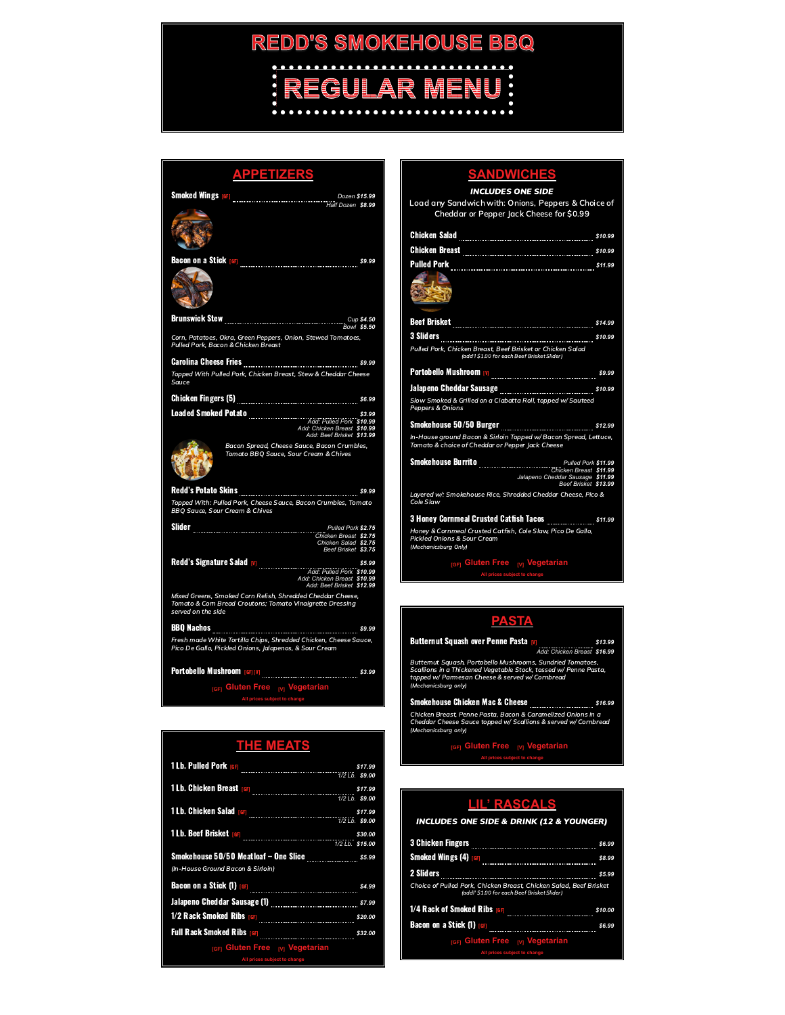# **REDD'S SMOKEHOUSE BBQ REGULAR MENU!**<br>: REGULAR MENU!

| <b>APPETIZERS</b>                                                                                                                                                                                                                                          |  |  |
|------------------------------------------------------------------------------------------------------------------------------------------------------------------------------------------------------------------------------------------------------------|--|--|
| Dozen \$15.99<br>Bozen \$15.99 Half Dozen \$8.99<br><b>Smoked Wings [GF]</b>                                                                                                                                                                               |  |  |
|                                                                                                                                                                                                                                                            |  |  |
| \$9.99                                                                                                                                                                                                                                                     |  |  |
|                                                                                                                                                                                                                                                            |  |  |
| Cup \$4.50<br>Bowl \$5.50                                                                                                                                                                                                                                  |  |  |
| Corn, Potatoes, Okra, Green Peppers, Onion, Stewed Tomatoes,<br>Pulled Pork, Bacon & Chicken Breast                                                                                                                                                        |  |  |
|                                                                                                                                                                                                                                                            |  |  |
| Topped With Pulled Pork, Chicken Breast, Stew & Cheddar Cheese<br>Sauce                                                                                                                                                                                    |  |  |
|                                                                                                                                                                                                                                                            |  |  |
|                                                                                                                                                                                                                                                            |  |  |
|                                                                                                                                                                                                                                                            |  |  |
| Bacon Spread, Cheese Sauce, Bacon Crumbles,<br>Tomato BBQ Sauce, Sour Cream & Chives                                                                                                                                                                       |  |  |
|                                                                                                                                                                                                                                                            |  |  |
| Topped With: Pulled Pork, Cheese Sauce, Bacon Crumbles, Tomato<br><b>BBQ Sauce, Sour Cream &amp; Chives</b>                                                                                                                                                |  |  |
|                                                                                                                                                                                                                                                            |  |  |
| Pulled Pork \$2.75<br>Chicken Breast \$2.75<br>Chicken Salad \$2.75<br>Beef Brisket \$3.75                                                                                                                                                                 |  |  |
| add: Pulled Pork \$10.99<br>Add: Pulled Pork \$10.99<br>Add: Chicken Breast \$10.99<br>Add: Beef Brisket \$12.99                                                                                                                                           |  |  |
| Mixed Greens, Smoked Corn Relish, Shredded Cheddar Cheese,<br>Tomato & Corn Bread Croutons; Tomato Vinaigrette Dressing<br>served on the side                                                                                                              |  |  |
|                                                                                                                                                                                                                                                            |  |  |
| Fresh made White Tortilla Chips, Shredded Chicken, Cheese Sauce,<br>Pico De Gallo, Pickled Onions, Jalapenos, & Sour Cream                                                                                                                                 |  |  |
|                                                                                                                                                                                                                                                            |  |  |
| <sub>[GF]</sub> Gluten Free <sub>[V]</sub> Vegetarian                                                                                                                                                                                                      |  |  |
| All prices subject to change                                                                                                                                                                                                                               |  |  |
|                                                                                                                                                                                                                                                            |  |  |
| <b>THE MEATS</b>                                                                                                                                                                                                                                           |  |  |
| 317.99<br>1/2 Lb. Pulled Pork (6F)                                                                                                                                                                                                                         |  |  |
| 1 Lb. Chicken Breast <b>(s)</b> 317.99<br>1/2 Lb. S9.00                                                                                                                                                                                                    |  |  |
| <b>1 Lb. Chicken Salad (6F)</b> 377.99<br>1/2 Lb. <b>S9.00</b>                                                                                                                                                                                             |  |  |
| 1 Lb. Beef Brisket [61] 330.00 \$30.00 \$30.00 \$30.00 \$35.00 \$15.00 \$15.00 \$15.00 \$15.00 \$15.00 \$15.00 \$15.00 \$15.00 \$15.00 \$15.00 \$15.00 \$15.00 \$15.00 \$15.00 \$15.00 \$15.00 \$15.00 \$15.00 \$15.00 \$15.00 \$15.00 \$15.00 \$15.00 \$1 |  |  |
| (In-House Ground Bacon & Sirloin)                                                                                                                                                                                                                          |  |  |
|                                                                                                                                                                                                                                                            |  |  |
|                                                                                                                                                                                                                                                            |  |  |

## **SANDWICHES**

INCLUDES ONE SIDE Load any Sandwich with: Onions, Peppers & Choice of

| Cheddar or Pepper Jack Cheese for \$0.99                                                                             |        |
|----------------------------------------------------------------------------------------------------------------------|--------|
|                                                                                                                      |        |
|                                                                                                                      |        |
|                                                                                                                      |        |
|                                                                                                                      |        |
|                                                                                                                      |        |
|                                                                                                                      |        |
|                                                                                                                      |        |
|                                                                                                                      |        |
| Pulled Pork, Chicken Breast, Beef Brisket or Chicken Salad<br>(add'l \$1.00 for each Beef Brisket Slider)            |        |
|                                                                                                                      | \$9.99 |
|                                                                                                                      |        |
| Slow Smoked & Grilled on a Ciabatta Roll, topped w/ Sauteed<br>Peppers & Onions                                      |        |
|                                                                                                                      |        |
| In-House ground Bacon & Sirloin Topped w/ Bacon Spread, Lettuce,<br>Tomato & choice of Cheddar or Pepper Jack Cheese |        |
|                                                                                                                      |        |
| Chicken Breast \$11.99<br>Jalapeno Cheddar Sausage \$11.99<br>Beef Brisket \$13.99                                   |        |
| Layered w/: Smokehouse Rice, Shredded Cheddar Cheese, Pico &<br>Cole Slaw                                            |        |
| 3 Honey Cornmeal Crusted Catfish Tacos <u></u> \$11.99                                                               |        |
| Llough & Commond Current Cuttobe Colo Clair, Dias De Culla                                                           |        |

Honey & Cornmeal Crusted Catfish, Cole Slaw, Pico De Gallo,<br>Pickled Onions & Sour Cream (Mechanicsburg Only)

**[GF] Gluten Free [V] Vegetarian All prices subject to change**

### **PASTA**

Butternut Squash over Penne Pasta [V] *\$13.99 Add: Chicken Breast \$16.99* Butternut Squash, Portobello Mushrooms, Sundried Tomatoes,<br>Scallions in a Thickened Vegetable Stock, tossed w/ Penne Pasta,<br>topped w/ Parmesan Cheese & served w/ Cornbread<br>(Mechanicsburg only) Smokehouse Chicken Mac & Cheese *\$16.99* Chicken Breast, Penne Pasta, Bacon & Caramelized Onions in a<br>Cheddar Cheese Sauce topped w/ Scallions & served w/ Cornbread<br>(Mechanicsburg only)

**[GF] Gluten Free [V] Vegetarian All prices subject to change**

| LIL' RASCALS                                                                                                      |         |  |  |
|-------------------------------------------------------------------------------------------------------------------|---------|--|--|
| <b>INCLUDES ONE SIDE &amp; DRINK (12 &amp; YOUNGER)</b>                                                           |         |  |  |
| <b>3 Chicken Fingers</b>                                                                                          | \$6.99  |  |  |
| <b>Smoked Wings (4) GFJ</b>                                                                                       | \$8.99  |  |  |
| 2 Sliders                                                                                                         | \$5.99  |  |  |
| Choice of Pulled Pork, Chicken Breast, Chicken Salad, Beef Brisket<br>(addl' \$1.00 for each Beef Brisket Slider) |         |  |  |
| 1/4 Rack of Smoked Ribs [6F]                                                                                      | \$10.00 |  |  |
| <b>Bacon on a Stick (1) [6F]</b>                                                                                  | \$6.99  |  |  |
| <b>IGFI Gluten Free</b> M Vegetarian                                                                              |         |  |  |
| All prices subject to change                                                                                      |         |  |  |

| <b>THE MEATS</b>                                                                                                                                                                                                                     |                  |
|--------------------------------------------------------------------------------------------------------------------------------------------------------------------------------------------------------------------------------------|------------------|
| 1 Lb. Pulled Pork (6F) 2008 - 2008 - 2010 - 2010                                                                                                                                                                                     | \$17.99          |
|                                                                                                                                                                                                                                      | $1/2$ Lb. \$9.00 |
| 12Lb. Chicken Breast [6F]<br>12Lb. \$9.00                                                                                                                                                                                            |                  |
| 1 Lb. Chicken Salad [6F] <b>The Contract of Lines and Contract of the Contract of The Contract of The Contract of The Contract of The Contract of The Contract of The Contract of The Contract of The Contract of The Contract o</b> | \$17.99          |
|                                                                                                                                                                                                                                      | 1/2 Lb. \$9.00   |
| 1 Lb. Beef Brisket <sub>[GF]</sub>                                                                                                                                                                                                   | \$30.00          |
|                                                                                                                                                                                                                                      | 1/2 Lb. \$15.00  |
| Smokehouse 50/50 Meatloaf - One Slice \$5.99                                                                                                                                                                                         |                  |
| (In-House Ground Bacon & Sirloin)                                                                                                                                                                                                    |                  |
| Bacon on a Stick (1) [GF] <b>CONFIRM CONTROL</b>                                                                                                                                                                                     | \$4.99           |
| Jalapeno Cheddar Sausage (1) <b>Saussian American Cheddar Saussian Saussian Saussian Saussian S</b>                                                                                                                                  | \$7.99           |
|                                                                                                                                                                                                                                      | \$20.00          |
| Full Rack Smoked Ribs <sub>[GF]</sub>                                                                                                                                                                                                | \$32.00          |
| <b>IGFI Gluten Free</b> M Vegetarian                                                                                                                                                                                                 |                  |

**All prices subject to change**